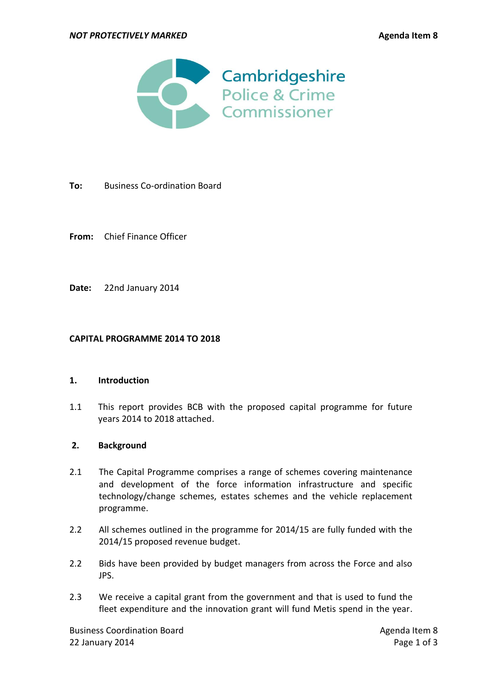

- **To:** Business Co-ordination Board
- **From:** Chief Finance Officer
- **Date:** 22nd January 2014

#### **CAPITAL PROGRAMME 2014 TO 2018**

#### **1. Introduction**

1.1 This report provides BCB with the proposed capital programme for future years 2014 to 2018 attached.

## **2. Background**

- 2.1 The Capital Programme comprises a range of schemes covering maintenance and development of the force information infrastructure and specific technology/change schemes, estates schemes and the vehicle replacement programme.
- 2.2 All schemes outlined in the programme for 2014/15 are fully funded with the 2014/15 proposed revenue budget.
- 2.2 Bids have been provided by budget managers from across the Force and also JPS.
- 2.3 We receive a capital grant from the government and that is used to fund the fleet expenditure and the innovation grant will fund Metis spend in the year.

Business Coordination Board **Agents** Agenda Item 8 22 January 2014 Page 1 of 3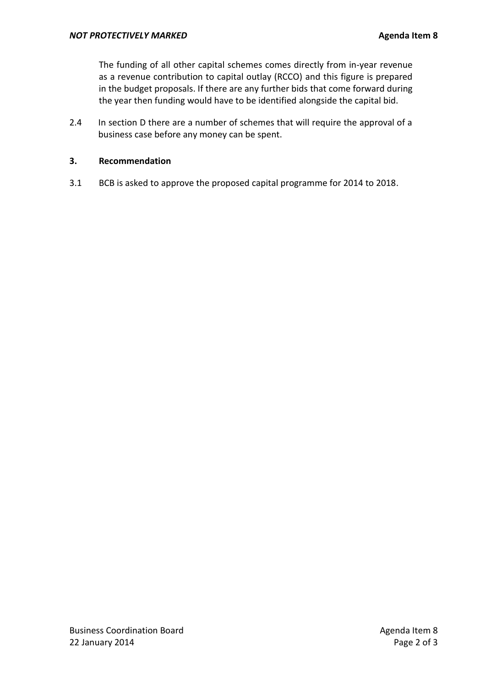The funding of all other capital schemes comes directly from in-year revenue as a revenue contribution to capital outlay (RCCO) and this figure is prepared in the budget proposals. If there are any further bids that come forward during the year then funding would have to be identified alongside the capital bid.

2.4 In section D there are a number of schemes that will require the approval of a business case before any money can be spent.

## **3. Recommendation**

3.1 BCB is asked to approve the proposed capital programme for 2014 to 2018.